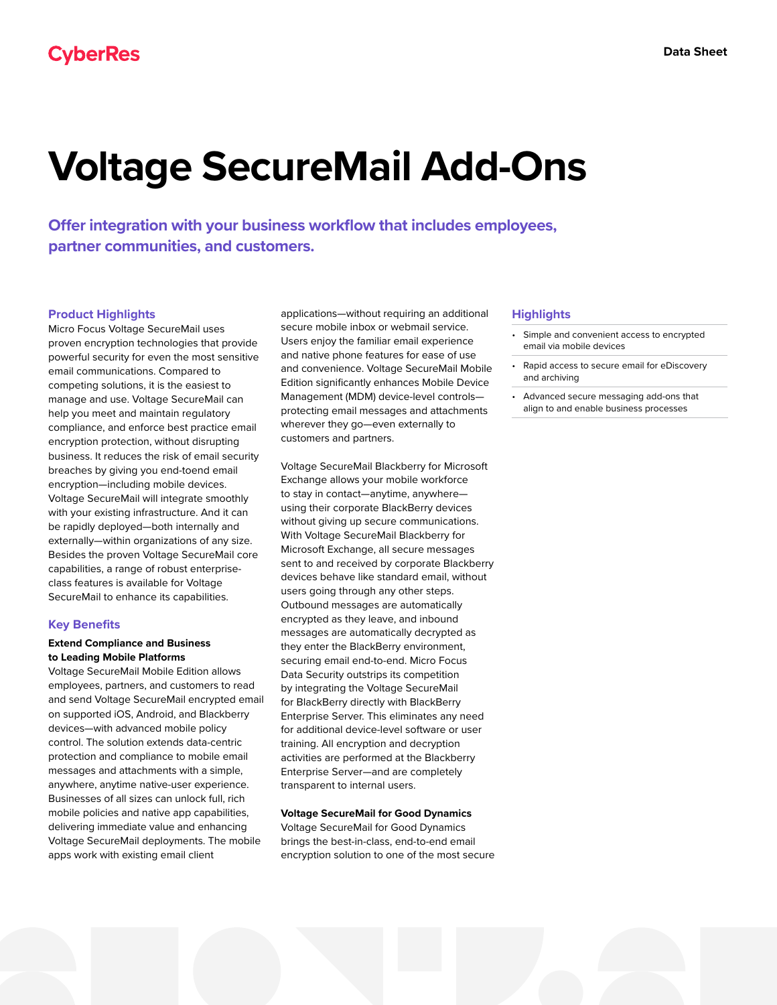# **Voltage SecureMail Add-Ons**

**Offer integration with your business workflow that includes employees, partner communities, and customers.**

# **Product Highlights**

Micro Focus Voltage SecureMail uses proven encryption technologies that provide powerful security for even the most sensitive email communications. Compared to competing solutions, it is the easiest to manage and use. Voltage SecureMail can help you meet and maintain regulatory compliance, and enforce best practice email encryption protection, without disrupting business. It reduces the risk of email security breaches by giving you end-toend email encryption—including mobile devices. Voltage SecureMail will integrate smoothly with your existing infrastructure. And it can be rapidly deployed—both internally and externally—within organizations of any size. Besides the proven Voltage SecureMail core capabilities, a range of robust enterpriseclass features is available for Voltage SecureMail to enhance its capabilities.

#### **Key Benefits**

# **Extend Compliance and Business to Leading Mobile Platforms**

Voltage SecureMail Mobile Edition allows employees, partners, and customers to read and send Voltage SecureMail encrypted email on supported iOS, Android, and Blackberry devices—with advanced mobile policy control. The solution extends data-centric protection and compliance to mobile email messages and attachments with a simple, anywhere, anytime native-user experience. Businesses of all sizes can unlock full, rich mobile policies and native app capabilities, delivering immediate value and enhancing Voltage SecureMail deployments. The mobile apps work with existing email client

applications—without requiring an additional secure mobile inbox or webmail service. Users enjoy the familiar email experience and native phone features for ease of use and convenience. Voltage SecureMail Mobile Edition significantly enhances Mobile Device Management (MDM) device-level controls protecting email messages and attachments wherever they go—even externally to customers and partners.

Voltage SecureMail Blackberry for Microsoft Exchange allows your mobile workforce to stay in contact—anytime, anywhere using their corporate BlackBerry devices without giving up secure communications. With Voltage SecureMail Blackberry for Microsoft Exchange, all secure messages sent to and received by corporate Blackberry devices behave like standard email, without users going through any other steps. Outbound messages are automatically encrypted as they leave, and inbound messages are automatically decrypted as they enter the BlackBerry environment, securing email end-to-end. Micro Focus Data Security outstrips its competition by integrating the Voltage SecureMail for BlackBerry directly with BlackBerry Enterprise Server. This eliminates any need for additional device-level software or user training. All encryption and decryption activities are performed at the Blackberry Enterprise Server—and are completely transparent to internal users.

## **Voltage SecureMail for Good Dynamics**

Voltage SecureMail for Good Dynamics brings the best-in-class, end-to-end email encryption solution to one of the most secure

## **Highlights**

- Simple and convenient access to encrypted email via mobile devices
- Rapid access to secure email for eDiscovery and archiving
- Advanced secure messaging add-ons that align to and enable business processes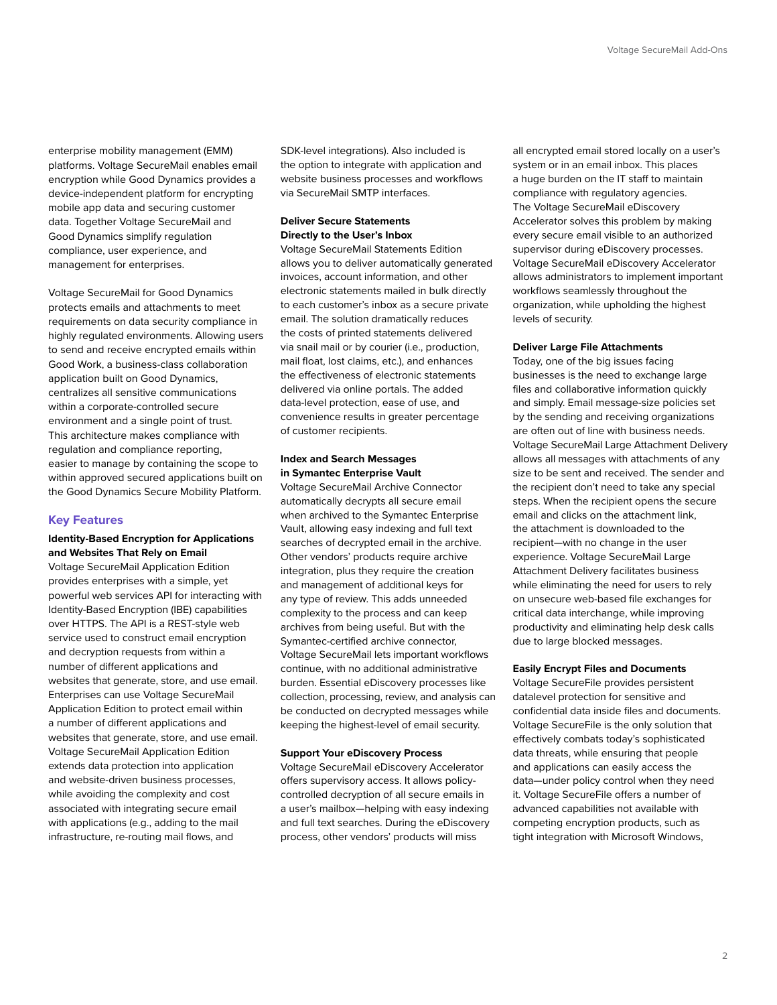enterprise mobility management (EMM) platforms. Voltage SecureMail enables email encryption while Good Dynamics provides a device-independent platform for encrypting mobile app data and securing customer data. Together Voltage SecureMail and Good Dynamics simplify regulation compliance, user experience, and management for enterprises.

Voltage SecureMail for Good Dynamics protects emails and attachments to meet requirements on data security compliance in highly regulated environments. Allowing users to send and receive encrypted emails within Good Work, a business-class collaboration application built on Good Dynamics, centralizes all sensitive communications within a corporate-controlled secure environment and a single point of trust. This architecture makes compliance with regulation and compliance reporting, easier to manage by containing the scope to within approved secured applications built on the Good Dynamics Secure Mobility Platform.

# **Key Features**

# **Identity-Based Encryption for Applications and Websites That Rely on Email**

Voltage SecureMail Application Edition provides enterprises with a simple, yet powerful web services API for interacting with Identity-Based Encryption (IBE) capabilities over HTTPS. The API is a REST-style web service used to construct email encryption and decryption requests from within a number of different applications and websites that generate, store, and use email. Enterprises can use Voltage SecureMail Application Edition to protect email within a number of different applications and websites that generate, store, and use email. Voltage SecureMail Application Edition extends data protection into application and website-driven business processes, while avoiding the complexity and cost associated with integrating secure email with applications (e.g., adding to the mail infrastructure, re-routing mail flows, and

SDK-level integrations). Also included is the option to integrate with application and website business processes and workflows via SecureMail SMTP interfaces.

# **Deliver Secure Statements Directly to the User's Inbox**

Voltage SecureMail Statements Edition allows you to deliver automatically generated invoices, account information, and other electronic statements mailed in bulk directly to each customer's inbox as a secure private email. The solution dramatically reduces the costs of printed statements delivered via snail mail or by courier (i.e., production, mail float, lost claims, etc.), and enhances the effectiveness of electronic statements delivered via online portals. The added data-level protection, ease of use, and convenience results in greater percentage of customer recipients.

# **Index and Search Messages in Symantec Enterprise Vault**

Voltage SecureMail Archive Connector automatically decrypts all secure email when archived to the Symantec Enterprise Vault, allowing easy indexing and full text searches of decrypted email in the archive. Other vendors' products require archive integration, plus they require the creation and management of additional keys for any type of review. This adds unneeded complexity to the process and can keep archives from being useful. But with the Symantec-certified archive connector, Voltage SecureMail lets important workflows continue, with no additional administrative burden. Essential eDiscovery processes like collection, processing, review, and analysis can be conducted on decrypted messages while keeping the highest-level of email security.

# **Support Your eDiscovery Process**

Voltage SecureMail eDiscovery Accelerator offers supervisory access. It allows policycontrolled decryption of all secure emails in a user's mailbox—helping with easy indexing and full text searches. During the eDiscovery process, other vendors' products will miss

all encrypted email stored locally on a user's system or in an email inbox. This places a huge burden on the IT staff to maintain compliance with regulatory agencies. The Voltage SecureMail eDiscovery Accelerator solves this problem by making every secure email visible to an authorized supervisor during eDiscovery processes. Voltage SecureMail eDiscovery Accelerator allows administrators to implement important workflows seamlessly throughout the organization, while upholding the highest levels of security.

#### **Deliver Large File Attachments**

Today, one of the big issues facing businesses is the need to exchange large files and collaborative information quickly and simply. Email message-size policies set by the sending and receiving organizations are often out of line with business needs. Voltage SecureMail Large Attachment Delivery allows all messages with attachments of any size to be sent and received. The sender and the recipient don't need to take any special steps. When the recipient opens the secure email and clicks on the attachment link, the attachment is downloaded to the recipient—with no change in the user experience. Voltage SecureMail Large Attachment Delivery facilitates business while eliminating the need for users to rely on unsecure web-based file exchanges for critical data interchange, while improving productivity and eliminating help desk calls due to large blocked messages.

#### **Easily Encrypt Files and Documents**

Voltage SecureFile provides persistent datalevel protection for sensitive and confidential data inside files and documents. Voltage SecureFile is the only solution that effectively combats today's sophisticated data threats, while ensuring that people and applications can easily access the data—under policy control when they need it. Voltage SecureFile offers a number of advanced capabilities not available with competing encryption products, such as tight integration with Microsoft Windows,